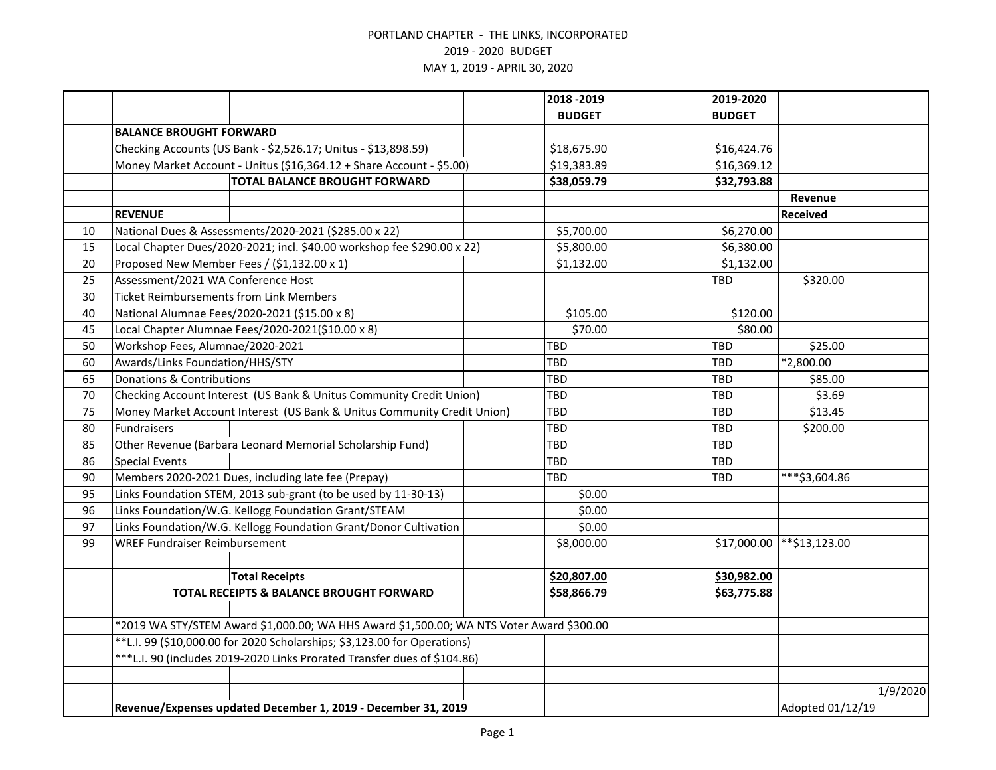|    |                                                                                                                                                                      |                                                |                       |                                                                         |  | 2018 - 2019   | 2019-2020     |                  |          |
|----|----------------------------------------------------------------------------------------------------------------------------------------------------------------------|------------------------------------------------|-----------------------|-------------------------------------------------------------------------|--|---------------|---------------|------------------|----------|
|    |                                                                                                                                                                      |                                                |                       |                                                                         |  | <b>BUDGET</b> | <b>BUDGET</b> |                  |          |
|    |                                                                                                                                                                      | <b>BALANCE BROUGHT FORWARD</b>                 |                       |                                                                         |  |               |               |                  |          |
|    |                                                                                                                                                                      |                                                |                       | Checking Accounts (US Bank - \$2,526.17; Unitus - \$13,898.59)          |  | \$18,675.90   | \$16,424.76   |                  |          |
|    | Money Market Account - Unitus (\$16,364.12 + Share Account - \$5.00)                                                                                                 |                                                |                       |                                                                         |  | \$19,383.89   | \$16,369.12   |                  |          |
|    |                                                                                                                                                                      |                                                |                       | <b>TOTAL BALANCE BROUGHT FORWARD</b>                                    |  | \$38,059.79   | \$32,793.88   |                  |          |
|    |                                                                                                                                                                      |                                                |                       |                                                                         |  |               |               | Revenue          |          |
|    | <b>REVENUE</b>                                                                                                                                                       |                                                |                       |                                                                         |  |               |               | <b>Received</b>  |          |
| 10 |                                                                                                                                                                      |                                                |                       | National Dues & Assessments/2020-2021 (\$285.00 x 22)                   |  | \$5,700.00    | \$6,270.00    |                  |          |
| 15 |                                                                                                                                                                      |                                                |                       | Local Chapter Dues/2020-2021; incl. \$40.00 workshop fee \$290.00 x 22) |  | \$5,800.00    | \$6,380.00    |                  |          |
| 20 |                                                                                                                                                                      |                                                |                       | Proposed New Member Fees / (\$1,132.00 x 1)                             |  | \$1,132.00    | \$1,132.00    |                  |          |
| 25 |                                                                                                                                                                      | Assessment/2021 WA Conference Host             |                       |                                                                         |  |               | TBD           | \$320.00         |          |
| 30 |                                                                                                                                                                      | <b>Ticket Reimbursements from Link Members</b> |                       |                                                                         |  |               |               |                  |          |
| 40 |                                                                                                                                                                      |                                                |                       | National Alumnae Fees/2020-2021 (\$15.00 x 8)                           |  | \$105.00      | \$120.00      |                  |          |
| 45 |                                                                                                                                                                      |                                                |                       | Local Chapter Alumnae Fees/2020-2021(\$10.00 x 8)                       |  | \$70.00       | \$80.00       |                  |          |
| 50 |                                                                                                                                                                      | Workshop Fees, Alumnae/2020-2021               |                       |                                                                         |  | <b>TBD</b>    | TBD           | \$25.00          |          |
| 60 |                                                                                                                                                                      | Awards/Links Foundation/HHS/STY                |                       |                                                                         |  | TBD           | TBD           | *2,800.00        |          |
| 65 |                                                                                                                                                                      | <b>Donations &amp; Contributions</b>           |                       |                                                                         |  | TBD           | <b>TBD</b>    | \$85.00          |          |
| 70 |                                                                                                                                                                      |                                                |                       | Checking Account Interest (US Bank & Unitus Community Credit Union)     |  | TBD           | <b>TBD</b>    | \$3.69           |          |
| 75 | Money Market Account Interest (US Bank & Unitus Community Credit Union)                                                                                              |                                                |                       |                                                                         |  | <b>TBD</b>    | <b>TBD</b>    | \$13.45          |          |
| 80 | Fundraisers                                                                                                                                                          |                                                |                       |                                                                         |  | TBD           | <b>TBD</b>    | \$200.00         |          |
| 85 |                                                                                                                                                                      |                                                |                       | Other Revenue (Barbara Leonard Memorial Scholarship Fund)               |  | TBD           | <b>TBD</b>    |                  |          |
| 86 | <b>Special Events</b>                                                                                                                                                |                                                |                       |                                                                         |  | TBD           | TBD           |                  |          |
| 90 |                                                                                                                                                                      |                                                |                       | Members 2020-2021 Dues, including late fee (Prepay)                     |  | TBD           | TBD           | ***\$3,604.86    |          |
| 95 |                                                                                                                                                                      |                                                |                       | Links Foundation STEM, 2013 sub-grant (to be used by 11-30-13)          |  | \$0.00        |               |                  |          |
| 96 |                                                                                                                                                                      |                                                |                       | Links Foundation/W.G. Kellogg Foundation Grant/STEAM                    |  | \$0.00        |               |                  |          |
| 97 |                                                                                                                                                                      |                                                |                       | Links Foundation/W.G. Kellogg Foundation Grant/Donor Cultivation        |  | \$0.00        |               |                  |          |
| 99 |                                                                                                                                                                      | <b>WREF Fundraiser Reimbursement</b>           |                       |                                                                         |  | \$8,000.00    | \$17,000.00   | **\$13,123.00    |          |
|    |                                                                                                                                                                      |                                                |                       |                                                                         |  |               |               |                  |          |
|    |                                                                                                                                                                      |                                                | <b>Total Receipts</b> |                                                                         |  | \$20,807.00   | \$30,982.00   |                  |          |
|    |                                                                                                                                                                      |                                                |                       | TOTAL RECEIPTS & BALANCE BROUGHT FORWARD                                |  | \$58,866.79   | \$63,775.88   |                  |          |
|    |                                                                                                                                                                      |                                                |                       |                                                                         |  |               |               |                  |          |
|    | *2019 WA STY/STEM Award \$1,000.00; WA HHS Award \$1,500.00; WA NTS Voter Award \$300.00<br>**L.I. 99 (\$10,000.00 for 2020 Scholarships; \$3,123.00 for Operations) |                                                |                       |                                                                         |  |               |               |                  |          |
|    |                                                                                                                                                                      |                                                |                       |                                                                         |  |               |               |                  |          |
|    | ***L.I. 90 (includes 2019-2020 Links Prorated Transfer dues of \$104.86)                                                                                             |                                                |                       |                                                                         |  |               |               |                  |          |
|    |                                                                                                                                                                      |                                                |                       |                                                                         |  |               |               |                  |          |
|    |                                                                                                                                                                      |                                                |                       |                                                                         |  |               |               |                  | 1/9/2020 |
|    | Revenue/Expenses updated December 1, 2019 - December 31, 2019                                                                                                        |                                                |                       |                                                                         |  |               |               | Adopted 01/12/19 |          |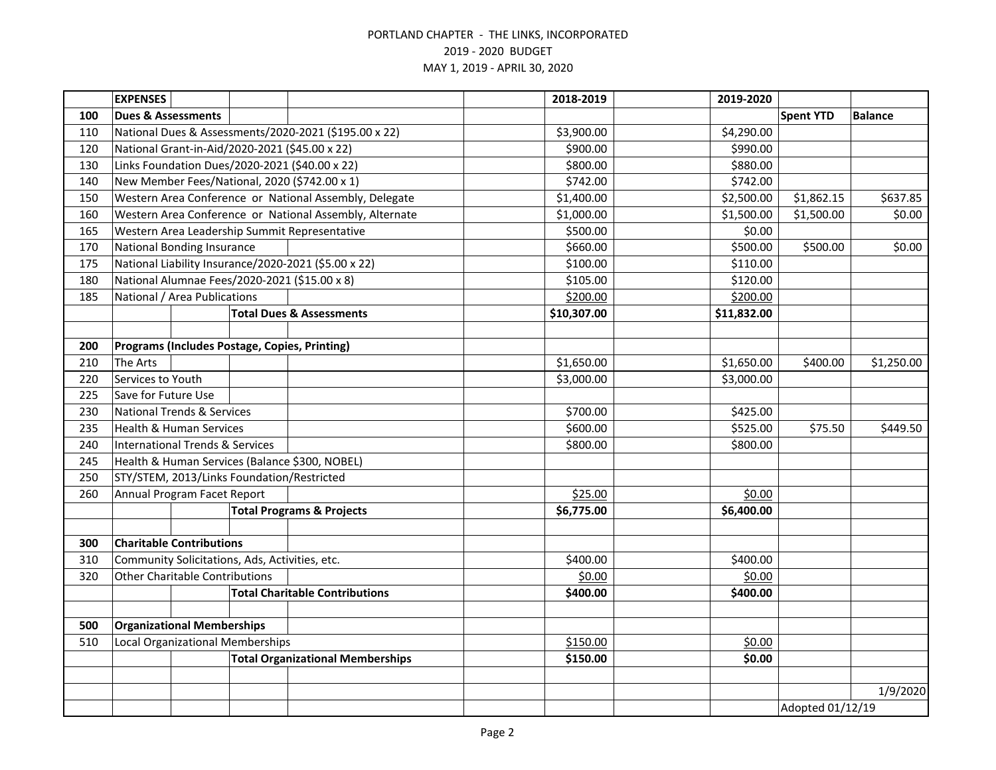|            | <b>EXPENSES</b>                                                             |  |            |                                                         | 2018-2019   | 2019-2020        |                  |                |
|------------|-----------------------------------------------------------------------------|--|------------|---------------------------------------------------------|-------------|------------------|------------------|----------------|
| 100        | <b>Dues &amp; Assessments</b>                                               |  |            |                                                         |             |                  | <b>Spent YTD</b> | <b>Balance</b> |
| 110        |                                                                             |  |            | National Dues & Assessments/2020-2021 (\$195.00 x 22)   | \$3,900.00  | \$4,290.00       |                  |                |
| 120        | National Grant-in-Aid/2020-2021 (\$45.00 x 22)                              |  |            |                                                         | \$900.00    | \$990.00         |                  |                |
| 130        | Links Foundation Dues/2020-2021 (\$40.00 x 22)                              |  |            |                                                         | \$800.00    | \$880.00         |                  |                |
| 140        | New Member Fees/National, 2020 (\$742.00 x 1)                               |  |            |                                                         | \$742.00    | \$742.00         |                  |                |
| 150        |                                                                             |  |            | Western Area Conference or National Assembly, Delegate  | \$1,400.00  | \$2,500.00       | \$1,862.15       | \$637.85       |
| 160        |                                                                             |  |            | Western Area Conference or National Assembly, Alternate | \$1,000.00  | \$1,500.00       | \$1,500.00       | \$0.00         |
| 165        |                                                                             |  |            | Western Area Leadership Summit Representative           | \$500.00    | \$0.00           |                  |                |
| 170        | <b>National Bonding Insurance</b>                                           |  |            |                                                         | \$660.00    | \$500.00         | \$500.00         | \$0.00         |
| 175        |                                                                             |  |            | National Liability Insurance/2020-2021 (\$5.00 x 22)    | \$100.00    | \$110.00         |                  |                |
| 180        | National Alumnae Fees/2020-2021 (\$15.00 x 8)                               |  |            |                                                         | \$105.00    | \$120.00         |                  |                |
| 185        | National / Area Publications                                                |  |            |                                                         | \$200.00    | \$200.00         |                  |                |
|            |                                                                             |  |            | <b>Total Dues &amp; Assessments</b>                     | \$10,307.00 | \$11,832.00      |                  |                |
|            |                                                                             |  |            |                                                         |             |                  |                  |                |
| 200        | Programs (Includes Postage, Copies, Printing)                               |  |            |                                                         |             |                  |                  |                |
| 210        | The Arts                                                                    |  |            |                                                         | \$1,650.00  | \$1,650.00       | \$400.00         | \$1,250.00     |
| 220        | Services to Youth                                                           |  |            |                                                         | \$3,000.00  | \$3,000.00       |                  |                |
| 225        | Save for Future Use                                                         |  |            |                                                         |             |                  |                  |                |
| 230        | <b>National Trends &amp; Services</b>                                       |  |            |                                                         | \$700.00    | \$425.00         |                  |                |
| 235        | <b>Health &amp; Human Services</b>                                          |  |            |                                                         | \$600.00    | \$525.00         | \$75.50          | \$449.50       |
| 240        | <b>International Trends &amp; Services</b>                                  |  |            |                                                         | \$800.00    | \$800.00         |                  |                |
| 245        |                                                                             |  |            | Health & Human Services (Balance \$300, NOBEL)          |             |                  |                  |                |
| 250        | STY/STEM, 2013/Links Foundation/Restricted                                  |  |            |                                                         |             |                  |                  |                |
| 260        | Annual Program Facet Report                                                 |  |            |                                                         | \$25.00     | \$0.00           |                  |                |
|            | <b>Total Programs &amp; Projects</b>                                        |  | \$6,775.00 | \$6,400.00                                              |             |                  |                  |                |
|            |                                                                             |  |            |                                                         |             |                  |                  |                |
| 300        | <b>Charitable Contributions</b>                                             |  |            |                                                         |             |                  |                  |                |
| 310        | Community Solicitations, Ads, Activities, etc.                              |  |            |                                                         | \$400.00    | \$400.00         |                  |                |
| 320        | <b>Other Charitable Contributions</b>                                       |  |            |                                                         | \$0.00      | \$0.00           |                  |                |
|            |                                                                             |  |            | <b>Total Charitable Contributions</b>                   | \$400.00    | \$400.00         |                  |                |
|            |                                                                             |  |            |                                                         |             |                  |                  |                |
| 500<br>510 | <b>Organizational Memberships</b>                                           |  |            |                                                         | \$150.00    | \$0.00           |                  |                |
|            | Local Organizational Memberships<br><b>Total Organizational Memberships</b> |  |            | \$150.00                                                | \$0.00      |                  |                  |                |
|            |                                                                             |  |            |                                                         |             |                  |                  |                |
|            |                                                                             |  |            |                                                         |             |                  |                  | 1/9/2020       |
|            |                                                                             |  |            |                                                         |             |                  |                  |                |
|            |                                                                             |  |            |                                                         |             | Adopted 01/12/19 |                  |                |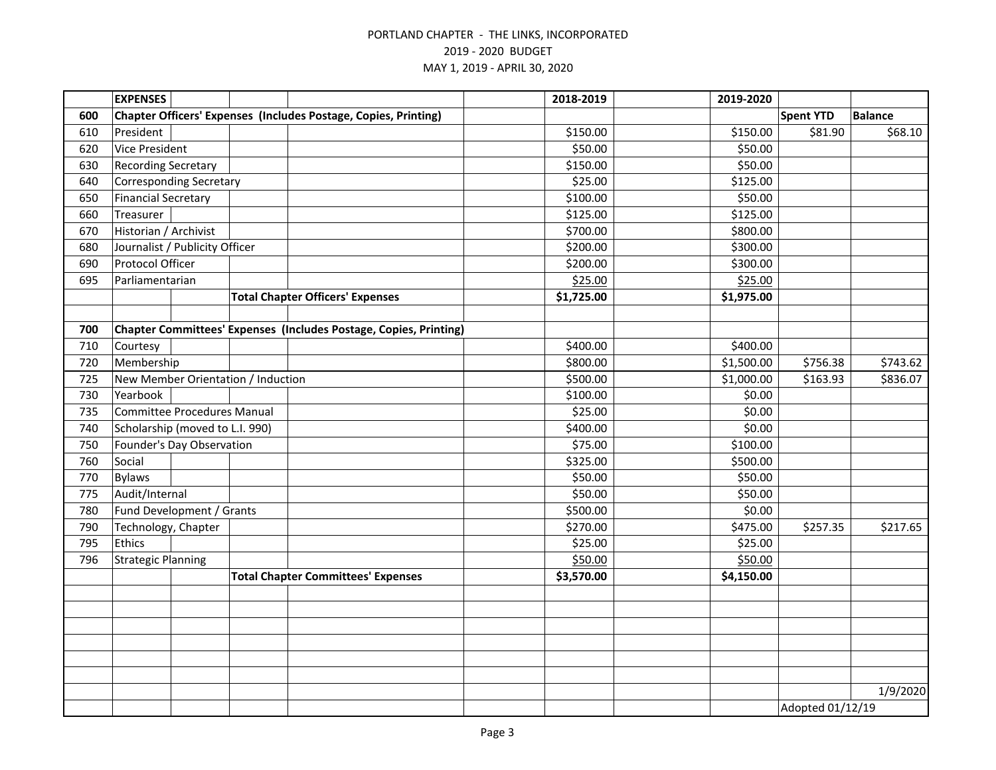|     | <b>EXPENSES</b>                    |                  |  |                                                                   | 2018-2019  | 2019-2020  |                  |                |
|-----|------------------------------------|------------------|--|-------------------------------------------------------------------|------------|------------|------------------|----------------|
| 600 |                                    |                  |  | Chapter Officers' Expenses (Includes Postage, Copies, Printing)   |            |            | <b>Spent YTD</b> | <b>Balance</b> |
| 610 | President                          |                  |  |                                                                   | \$150.00   | \$150.00   | \$81.90          | \$68.10        |
| 620 | <b>Vice President</b>              |                  |  |                                                                   | \$50.00    | \$50.00    |                  |                |
| 630 | <b>Recording Secretary</b>         |                  |  |                                                                   | \$150.00   | \$50.00    |                  |                |
| 640 | <b>Corresponding Secretary</b>     |                  |  |                                                                   | \$25.00    | \$125.00   |                  |                |
| 650 | <b>Financial Secretary</b>         |                  |  |                                                                   | \$100.00   | \$50.00    |                  |                |
| 660 | Treasurer                          |                  |  |                                                                   | \$125.00   | \$125.00   |                  |                |
| 670 | Historian / Archivist              |                  |  |                                                                   | \$700.00   | \$800.00   |                  |                |
| 680 | Journalist / Publicity Officer     |                  |  |                                                                   | \$200.00   | \$300.00   |                  |                |
| 690 | Protocol Officer                   |                  |  |                                                                   | \$200.00   | \$300.00   |                  |                |
| 695 | Parliamentarian                    |                  |  |                                                                   | \$25.00    | \$25.00    |                  |                |
|     |                                    |                  |  | <b>Total Chapter Officers' Expenses</b>                           | \$1,725.00 | \$1,975.00 |                  |                |
|     |                                    |                  |  |                                                                   |            |            |                  |                |
| 700 |                                    |                  |  | Chapter Committees' Expenses (Includes Postage, Copies, Printing) |            |            |                  |                |
| 710 | Courtesy                           |                  |  |                                                                   | \$400.00   | \$400.00   |                  |                |
| 720 | Membership                         |                  |  |                                                                   | \$800.00   | \$1,500.00 | \$756.38         | \$743.62       |
| 725 | New Member Orientation / Induction |                  |  |                                                                   | \$500.00   | \$1,000.00 | \$163.93         | \$836.07       |
| 730 | Yearbook                           |                  |  |                                                                   | \$100.00   | \$0.00     |                  |                |
| 735 | <b>Committee Procedures Manual</b> |                  |  |                                                                   | \$25.00    | \$0.00     |                  |                |
| 740 | Scholarship (moved to L.I. 990)    |                  |  |                                                                   | \$400.00   | \$0.00     |                  |                |
| 750 | Founder's Day Observation          |                  |  |                                                                   | \$75.00    | \$100.00   |                  |                |
| 760 | Social                             |                  |  |                                                                   | \$325.00   | \$500.00   |                  |                |
| 770 | <b>Bylaws</b>                      |                  |  |                                                                   | \$50.00    | \$50.00    |                  |                |
| 775 | Audit/Internal                     |                  |  |                                                                   | \$50.00    | \$50.00    |                  |                |
| 780 | Fund Development / Grants          |                  |  |                                                                   | \$500.00   | \$0.00     |                  |                |
| 790 | Technology, Chapter                |                  |  |                                                                   | \$270.00   | \$475.00   | \$257.35         | \$217.65       |
| 795 | <b>Ethics</b>                      |                  |  |                                                                   | \$25.00    | \$25.00    |                  |                |
| 796 | <b>Strategic Planning</b>          |                  |  |                                                                   | \$50.00    | \$50.00    |                  |                |
|     |                                    |                  |  | <b>Total Chapter Committees' Expenses</b>                         | \$3,570.00 | \$4,150.00 |                  |                |
|     |                                    |                  |  |                                                                   |            |            |                  |                |
|     |                                    |                  |  |                                                                   |            |            |                  |                |
|     |                                    |                  |  |                                                                   |            |            |                  |                |
|     |                                    |                  |  |                                                                   |            |            |                  |                |
|     |                                    |                  |  |                                                                   |            |            |                  |                |
|     |                                    |                  |  |                                                                   |            |            |                  |                |
|     |                                    |                  |  |                                                                   |            |            |                  | 1/9/2020       |
|     |                                    | Adopted 01/12/19 |  |                                                                   |            |            |                  |                |